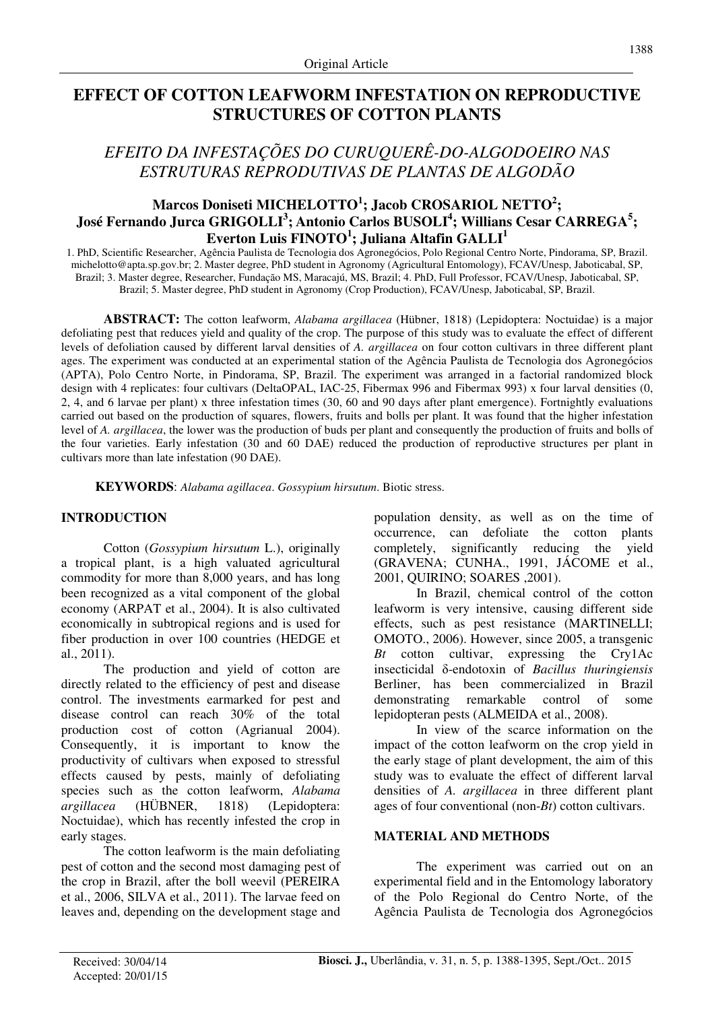# **EFFECT OF COTTON LEAFWORM INFESTATION ON REPRODUCTIVE STRUCTURES OF COTTON PLANTS**

# *EFEITO DA INFESTAÇÕES DO CURUQUERÊ-DO-ALGODOEIRO NAS ESTRUTURAS REPRODUTIVAS DE PLANTAS DE ALGODÃO*

## **Marcos Doniseti MICHELOTTO<sup>1</sup> ; Jacob CROSARIOL NETTO<sup>2</sup> ; José Fernando Jurca GRIGOLLI<sup>3</sup> ; Antonio Carlos BUSOLI<sup>4</sup> ; Willians Cesar CARREGA<sup>5</sup> ; Everton Luis FINOTO<sup>1</sup> ; Juliana Altafin GALLI<sup>1</sup>**

1. PhD, Scientific Researcher, Agência Paulista de Tecnologia dos Agronegócios, Polo Regional Centro Norte, Pindorama, SP, Brazil. michelotto@apta.sp.gov.br; 2. Master degree, PhD student in Agronomy (Agricultural Entomology), FCAV/Unesp, Jaboticabal, SP, Brazil; 3. Master degree, Researcher, Fundação MS, Maracajú, MS, Brazil; 4. PhD, Full Professor, FCAV/Unesp, Jaboticabal, SP, Brazil; 5. Master degree, PhD student in Agronomy (Crop Production), FCAV/Unesp, Jaboticabal, SP, Brazil.

**ABSTRACT:** The cotton leafworm, *Alabama argillacea* (Hübner, 1818) (Lepidoptera: Noctuidae) is a major defoliating pest that reduces yield and quality of the crop. The purpose of this study was to evaluate the effect of different levels of defoliation caused by different larval densities of *A. argillacea* on four cotton cultivars in three different plant ages. The experiment was conducted at an experimental station of the Agência Paulista de Tecnologia dos Agronegócios (APTA), Polo Centro Norte, in Pindorama, SP, Brazil. The experiment was arranged in a factorial randomized block design with 4 replicates: four cultivars (DeltaOPAL, IAC-25, Fibermax 996 and Fibermax 993) x four larval densities (0, 2, 4, and 6 larvae per plant) x three infestation times (30, 60 and 90 days after plant emergence). Fortnightly evaluations carried out based on the production of squares, flowers, fruits and bolls per plant. It was found that the higher infestation level of *A. argillacea*, the lower was the production of buds per plant and consequently the production of fruits and bolls of the four varieties. Early infestation (30 and 60 DAE) reduced the production of reproductive structures per plant in cultivars more than late infestation (90 DAE).

**KEYWORDS**: *Alabama agillacea*. *Gossypium hirsutum*. Biotic stress.

## **INTRODUCTION**

Cotton (*Gossypium hirsutum* L.), originally a tropical plant, is a high valuated agricultural commodity for more than 8,000 years, and has long been recognized as a vital component of the global economy (ARPAT et al., 2004). It is also cultivated economically in subtropical regions and is used for fiber production in over 100 countries (HEDGE et al., 2011).

The production and yield of cotton are directly related to the efficiency of pest and disease control. The investments earmarked for pest and disease control can reach 30% of the total production cost of cotton (Agrianual 2004). Consequently, it is important to know the productivity of cultivars when exposed to stressful effects caused by pests, mainly of defoliating species such as the cotton leafworm, *Alabama argillacea* (HÜBNER, 1818) (Lepidoptera: Noctuidae), which has recently infested the crop in early stages.

The cotton leafworm is the main defoliating pest of cotton and the second most damaging pest of the crop in Brazil, after the boll weevil (PEREIRA et al., 2006, SILVA et al., 2011). The larvae feed on leaves and, depending on the development stage and population density, as well as on the time of occurrence, can defoliate the cotton plants completely, significantly reducing the yield (GRAVENA; CUNHA., 1991, JÁCOME et al., 2001, QUIRINO; SOARES ,2001).

In Brazil, chemical control of the cotton leafworm is very intensive, causing different side effects, such as pest resistance (MARTINELLI; OMOTO., 2006). However, since 2005, a transgenic *Bt* cotton cultivar, expressing the Cry1Ac insecticidal δ-endotoxin of *Bacillus thuringiensis* Berliner, has been commercialized in Brazil demonstrating remarkable control of some lepidopteran pests (ALMEIDA et al., 2008).

In view of the scarce information on the impact of the cotton leafworm on the crop yield in the early stage of plant development, the aim of this study was to evaluate the effect of different larval densities of *A. argillacea* in three different plant ages of four conventional (non-*Bt*) cotton cultivars.

### **MATERIAL AND METHODS**

The experiment was carried out on an experimental field and in the Entomology laboratory of the Polo Regional do Centro Norte, of the Agência Paulista de Tecnologia dos Agronegócios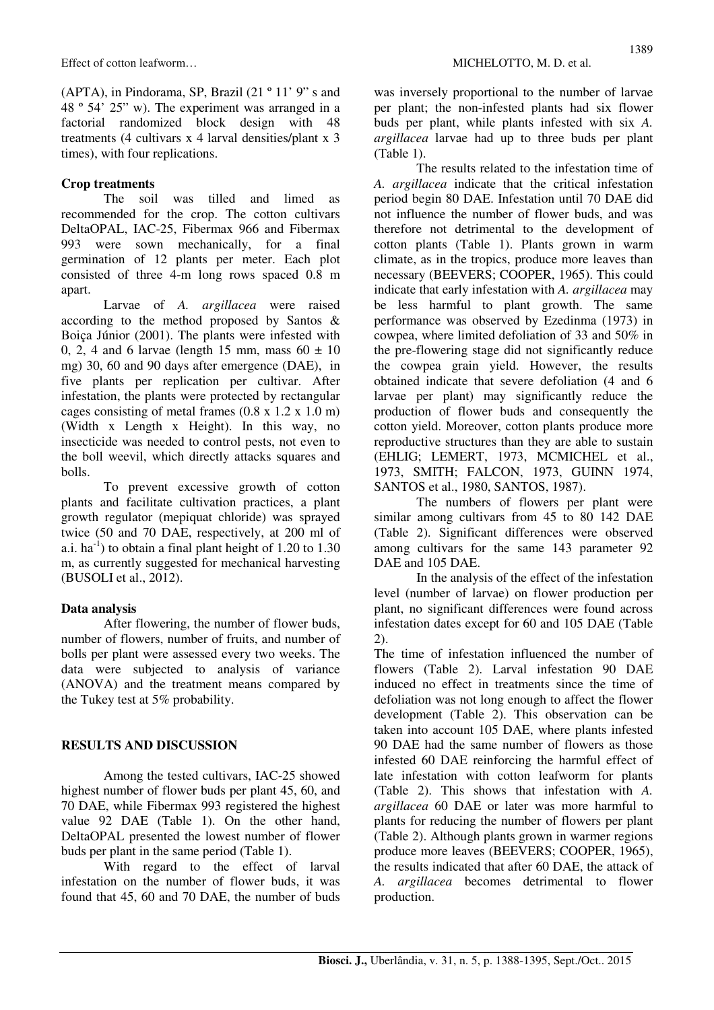(APTA), in Pindorama, SP, Brazil (21 º 11' 9" s and 48 º 54' 25" w). The experiment was arranged in a factorial randomized block design with 48 treatments (4 cultivars x 4 larval densities/plant x 3 times), with four replications.

### **Crop treatments**

The soil was tilled and limed as recommended for the crop. The cotton cultivars DeltaOPAL, IAC-25, Fibermax 966 and Fibermax 993 were sown mechanically, for a final germination of 12 plants per meter. Each plot consisted of three 4-m long rows spaced 0.8 m apart.

Larvae of *A. argillacea* were raised according to the method proposed by Santos & Boiça Júnior (2001). The plants were infested with 0, 2, 4 and 6 larvae (length 15 mm, mass  $60 \pm 10$ mg) 30, 60 and 90 days after emergence (DAE), in five plants per replication per cultivar. After infestation, the plants were protected by rectangular cages consisting of metal frames (0.8 x 1.2 x 1.0 m) (Width x Length x Height). In this way, no insecticide was needed to control pests, not even to the boll weevil, which directly attacks squares and bolls.

To prevent excessive growth of cotton plants and facilitate cultivation practices, a plant growth regulator (mepiquat chloride) was sprayed twice (50 and 70 DAE, respectively, at 200 ml of a.i.  $ha^{-1}$ ) to obtain a final plant height of 1.20 to 1.30 m, as currently suggested for mechanical harvesting (BUSOLI et al., 2012).

## **Data analysis**

After flowering, the number of flower buds, number of flowers, number of fruits, and number of bolls per plant were assessed every two weeks. The data were subjected to analysis of variance (ANOVA) and the treatment means compared by the Tukey test at 5% probability.

## **RESULTS AND DISCUSSION**

Among the tested cultivars, IAC-25 showed highest number of flower buds per plant 45, 60, and 70 DAE, while Fibermax 993 registered the highest value 92 DAE (Table 1). On the other hand, DeltaOPAL presented the lowest number of flower buds per plant in the same period (Table 1).

With regard to the effect of larval infestation on the number of flower buds, it was found that 45, 60 and 70 DAE, the number of buds

was inversely proportional to the number of larvae per plant; the non-infested plants had six flower buds per plant, while plants infested with six *A. argillacea* larvae had up to three buds per plant (Table 1).

The results related to the infestation time of *A. argillacea* indicate that the critical infestation period begin 80 DAE. Infestation until 70 DAE did not influence the number of flower buds, and was therefore not detrimental to the development of cotton plants (Table 1). Plants grown in warm climate, as in the tropics, produce more leaves than necessary (BEEVERS; COOPER, 1965). This could indicate that early infestation with *A. argillacea* may be less harmful to plant growth. The same performance was observed by Ezedinma (1973) in cowpea, where limited defoliation of 33 and 50% in the pre-flowering stage did not significantly reduce the cowpea grain yield. However, the results obtained indicate that severe defoliation (4 and 6 larvae per plant) may significantly reduce the production of flower buds and consequently the cotton yield. Moreover, cotton plants produce more reproductive structures than they are able to sustain (EHLIG; LEMERT, 1973, MCMICHEL et al., 1973, SMITH; FALCON, 1973, GUINN 1974, SANTOS et al., 1980, SANTOS, 1987).

The numbers of flowers per plant were similar among cultivars from 45 to 80 142 DAE (Table 2). Significant differences were observed among cultivars for the same 143 parameter 92 DAE and 105 DAE.

In the analysis of the effect of the infestation level (number of larvae) on flower production per plant, no significant differences were found across infestation dates except for 60 and 105 DAE (Table 2).

The time of infestation influenced the number of flowers (Table 2). Larval infestation 90 DAE induced no effect in treatments since the time of defoliation was not long enough to affect the flower development (Table 2). This observation can be taken into account 105 DAE, where plants infested 90 DAE had the same number of flowers as those infested 60 DAE reinforcing the harmful effect of late infestation with cotton leafworm for plants (Table 2). This shows that infestation with *A. argillacea* 60 DAE or later was more harmful to plants for reducing the number of flowers per plant (Table 2). Although plants grown in warmer regions produce more leaves (BEEVERS; COOPER, 1965), the results indicated that after 60 DAE, the attack of *A. argillacea* becomes detrimental to flower production.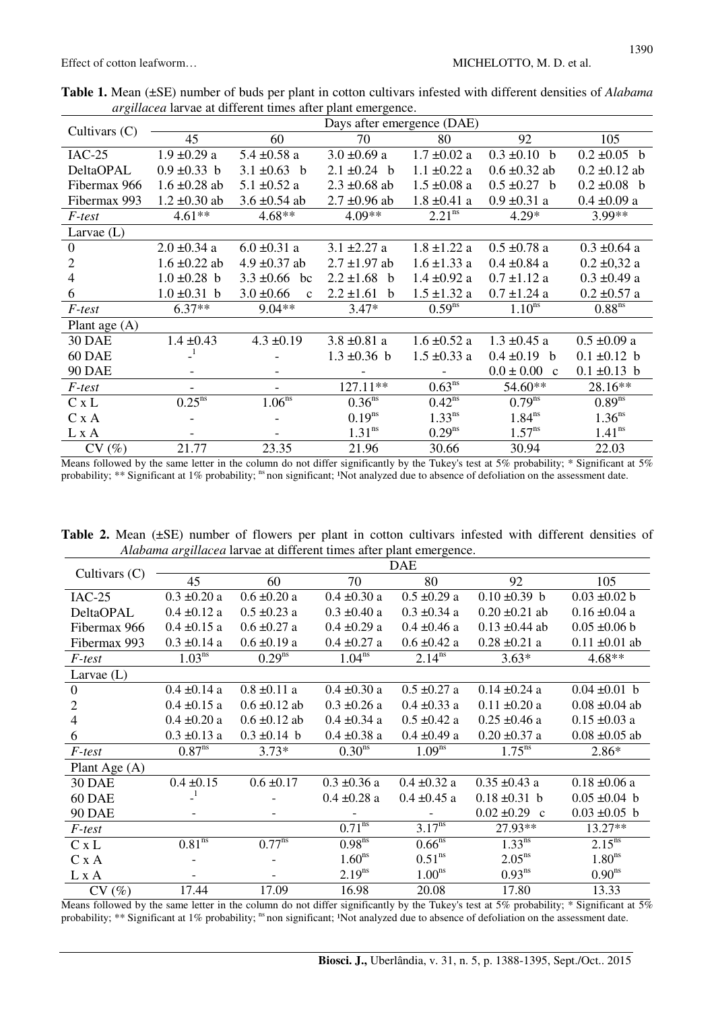Effect of cotton leafworm…  $MICHELOTTO, M. D.$  et al.

|                  |                               | Days after emergence (DAE)     |                        |                    |                                |                      |  |  |
|------------------|-------------------------------|--------------------------------|------------------------|--------------------|--------------------------------|----------------------|--|--|
| Cultivars $(C)$  | 45                            | 60                             | 70                     | 80                 | 92                             | 105                  |  |  |
| $IAC-25$         | $1.9 \pm 0.29$ a              | $5.4 \pm 0.58$ a               | $3.0 \pm 0.69$ a       | $1.7 \pm 0.02$ a   | $0.3 \pm 0.10$ b               | $0.2 \pm 0.05$ b     |  |  |
| <b>DeltaOPAL</b> | $0.9 \pm 0.33$ b              | 3.1 $\pm 0.63$ b               | $2.1 \pm 0.24$ b       | $1.1 \pm 0.22$ a   | $0.6 \pm 0.32$ ab              | $0.2 \pm 0.12$ ab    |  |  |
| Fibermax 966     | $1.6 \pm 0.28$ ab             | $5.1 \pm 0.52$ a               | $2.3 \pm 0.68$ ab      | $1.5 \pm 0.08$ a   | $0.5 \pm 0.27$ b               | $0.2 \pm 0.08$ b     |  |  |
| Fibermax 993     | $1.2 \pm 0.30$ ab             | $3.6 \pm 0.54$ ab              | $2.7 \pm 0.96$ ab      | $1.8 \pm 0.41$ a   | $0.9 \pm 0.31$ a               | $0.4 \pm 0.09$ a     |  |  |
| F-test           | $4.61**$                      | $4.68**$                       | 4.09**                 | 2.21 <sup>ns</sup> | $4.29*$                        | 3.99**               |  |  |
| Larvae $(L)$     |                               |                                |                        |                    |                                |                      |  |  |
| $\mathbf{0}$     | $2.0 \pm 0.34$ a              | $6.0 \pm 0.31$ a               | $3.1 \pm 2.27$ a       | $1.8 \pm 1.22$ a   | $0.5 \pm 0.78$ a               | $0.3 \pm 0.64$ a     |  |  |
| 2                | $1.6 \pm 0.22$ ab             | 4.9 $\pm$ 0.37 ab              | $2.7 \pm 1.97$ ab      | $1.6 \pm 1.33$ a   | $0.4 \pm 0.84$ a               | $0.2 \pm 0.32$ a     |  |  |
| 4                | $1.0 \pm 0.28$ b              | $3.3 \pm 0.66$ bc              | $2.2 \pm 1.68$<br>b    | $1.4 \pm 0.92$ a   | $0.7 \pm 1.12$ a               | $0.3 \pm 0.49$ a     |  |  |
| 6                | $1.0 \pm 0.31$ b              | $3.0 \pm 0.66$<br>$\mathbf{c}$ | $2.2 \pm 1.61$<br>h    | $1.5 \pm 1.32$ a   | $0.7 \pm 1.24$ a               | $0.2 \pm 0.57$ a     |  |  |
| F-test           | $6.37**$                      | $9.04**$                       | $3.47*$                | $0.59^{ns}$        | 1.10 <sup>ns</sup>             | $0.88$ <sup>ns</sup> |  |  |
| Plant age $(A)$  |                               |                                |                        |                    |                                |                      |  |  |
| <b>30 DAE</b>    | $1.4 \pm 0.43$                | $4.3 \pm 0.19$                 | $3.8 \pm 0.81$ a       | $1.6 \pm 0.52$ a   | $1.3 \pm 0.45$ a               | $0.5 \pm 0.09$ a     |  |  |
| 60 DAE           |                               |                                | $1.3 \pm 0.36$ b       | $1.5 \pm 0.33$ a   | $0.4 \pm 0.19$ b               | $0.1 \pm 0.12$ b     |  |  |
| <b>90 DAE</b>    | $\overline{\phantom{a}}$      | $\overline{\phantom{0}}$       |                        |                    | $0.0 \pm 0.00$<br>$\mathbf{c}$ | $0.1 \pm 0.13$ b     |  |  |
| F-test           | $\qquad \qquad -$             |                                | $127.11**$             | $0.63^{ns}$        | 54.60**                        | 28.16**              |  |  |
| C x L            | $0.25^{\overline{\text{ns}}}$ | 1.06 <sup>ns</sup>             | $0.36^{\overline{ns}}$ | $0.42^{ns}$        | $0.79^{\overline{ns}}$         | 0.89 <sup>ns</sup>   |  |  |
| C x A            |                               |                                | $0.19^{ns}$            | $1.33^{ns}$        | 1.84 <sup>ns</sup>             | 1.36 <sup>ns</sup>   |  |  |
| L x A            |                               |                                | 1.31 <sup>ns</sup>     | $0.29^{ns}$        | $1.57^{ns}$                    | 1.41 <sup>ns</sup>   |  |  |
| CV(%)            | 21.77                         | 23.35                          | 21.96                  | 30.66              | 30.94                          | 22.03                |  |  |

**Table 1.** Mean (±SE) number of buds per plant in cotton cultivars infested with different densities of *Alabama argillacea* larvae at different times after plant emergence.

Means followed by the same letter in the column do not differ significantly by the Tukey's test at 5% probability; \* Significant at 5% probability; \*\* Significant at 1% probability; <sup>ns</sup> non significant; <sup>1</sup>Not analyzed due to absence of defoliation on the assessment date.

**Table 2.** Mean (±SE) number of flowers per plant in cotton cultivars infested with different densities of *Alabama argillacea* larvae at different times after plant emergence.

|                 | <b>DAE</b>                    |                               |                               |                               |                    |                        |  |  |  |
|-----------------|-------------------------------|-------------------------------|-------------------------------|-------------------------------|--------------------|------------------------|--|--|--|
| Cultivars $(C)$ | 45                            | 60                            | 70                            | 80                            | 92                 | 105                    |  |  |  |
| $IAC-25$        | $0.3 \pm 0.20 a$              | $0.6 \pm 0.20 a$              | $0.4 \pm 0.30 a$              | $0.5 \pm 0.29$ a              | $0.10 \pm 0.39$ b  | $0.03 \pm 0.02 b$      |  |  |  |
| DeltaOPAL       | $0.4 \pm 0.12$ a              | $0.5 \pm 0.23$ a              | $0.3 \pm 0.40$ a              | $0.3 \pm 0.34$ a              | $0.20 \pm 0.21$ ab | $0.16 \pm 0.04$ a      |  |  |  |
| Fibermax 966    | $0.4 \pm 0.15$ a              | $0.6 \pm 0.27$ a              | $0.4 \pm 0.29$ a              | $0.4 \pm 0.46$ a              | $0.13 \pm 0.44$ ab | $0.05 \pm 0.06$ b      |  |  |  |
| Fibermax 993    | $0.3 \pm 0.14$ a              | $0.6 \pm 0.19$ a              | $0.4 \pm 0.27$ a              | $0.6 \pm 0.42$ a              | $0.28 \pm 0.21$ a  | $0.11 \pm 0.01$ ab     |  |  |  |
| F-test          | 1.03 <sup>ns</sup>            | $0.29^{ns}$                   | $1.04^{ns}$                   | $2.14^{ns}$                   | $3.63*$            | $4.68**$               |  |  |  |
| Larvae $(L)$    |                               |                               |                               |                               |                    |                        |  |  |  |
| $\mathbf{0}$    | $0.4 \pm 0.14$ a              | $0.8 \pm 0.11$ a              | $0.4 \pm 0.30 a$              | $0.5 \pm 0.27$ a              | $0.14 \pm 0.24$ a  | $0.04 \pm 0.01$ b      |  |  |  |
| $\overline{2}$  | $0.4 \pm 0.15$ a              | $0.6 \pm 0.12$ ab             | $0.3 \pm 0.26$ a              | $0.4 \pm 0.33$ a              | $0.11 \pm 0.20$ a  | $0.08 \pm 0.04$ ab     |  |  |  |
| 4               | $0.4 \pm 0.20$ a              | $0.6 \pm 0.12$ ab             | $0.4 \pm 0.34$ a              | $0.5 \pm 0.42$ a              | $0.25 \pm 0.46$ a  | $0.15 \pm 0.03$ a      |  |  |  |
| 6               | $0.3 \pm 0.13$ a              | $0.3 \pm 0.14$ b              | $0.4 \pm 0.38$ a              | $0.4 \pm 0.49$ a              | $0.20 \pm 0.37$ a  | $0.08 \pm 0.05$ ab     |  |  |  |
| F-test          | $0.87^{ns}$                   | $3.73*$                       | 0.30 <sup>ns</sup>            | 1.09 <sup>ns</sup>            | $1.75^{ns}$        | $2.86*$                |  |  |  |
| Plant Age (A)   |                               |                               |                               |                               |                    |                        |  |  |  |
| <b>30 DAE</b>   | $0.4 \pm 0.15$                | $0.6 \pm 0.17$                | $0.3 \pm 0.36$ a              | $0.4 \pm 0.32$ a              | $0.35 \pm 0.43$ a  | $0.18 \pm 0.06$ a      |  |  |  |
| 60 DAE          |                               |                               | $0.4 \pm 0.28$ a              | $0.4 \pm 0.45$ a              | $0.18 \pm 0.31$ b  | $0.05 \pm 0.04$ b      |  |  |  |
| <b>90 DAE</b>   |                               |                               |                               |                               | $0.02 \pm 0.29$ c  | $0.03 \pm 0.05$ b      |  |  |  |
| F-test          |                               |                               | $0.71^{\overline{\text{ns}}}$ | $3.17^{ns}$                   | 27.93**            | 13.27**                |  |  |  |
| C x L           | $0.81^{\overline{\text{ns}}}$ | $0.77^{\overline{\text{ns}}}$ | $0.98^{\overline{\text{ns}}}$ | $0.66^{\overline{\text{ns}}}$ | $1.33^{ns}$        | $2.15^{n\overline{s}}$ |  |  |  |
| C x A           |                               |                               | 1.60 <sup>ns</sup>            | 0.51 <sup>ns</sup>            | 2.05 <sup>ns</sup> | 1.80 <sup>ns</sup>     |  |  |  |
| L x A           |                               |                               | $2.19^{ns}$                   | 1.00 <sup>ns</sup>            | 0.93 <sup>ns</sup> | 0.90 <sup>ns</sup>     |  |  |  |
| CV(%)           | 17.44                         | 17.09                         | 16.98                         | 20.08                         | 17.80              | 13.33                  |  |  |  |

Means followed by the same letter in the column do not differ significantly by the Tukey's test at 5% probability; \* Significant at 5% probability; \*\* Significant at 1% probability; <sup>ns</sup> non significant; <sup>1</sup>Not analyzed due to absence of defoliation on the assessment date.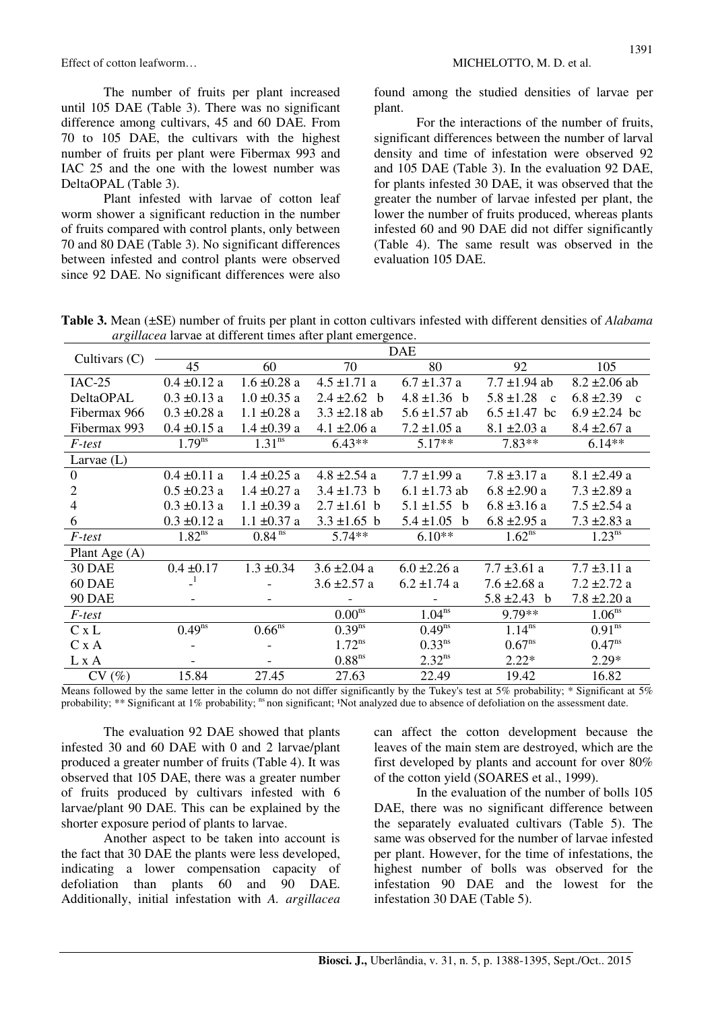Effect of cotton leafworm... MICHELOTTO, M. D. et al.

The number of fruits per plant increased until 105 DAE (Table 3). There was no significant difference among cultivars, 45 and 60 DAE. From 70 to 105 DAE, the cultivars with the highest number of fruits per plant were Fibermax 993 and IAC 25 and the one with the lowest number was DeltaOPAL (Table 3).

Plant infested with larvae of cotton leaf worm shower a significant reduction in the number of fruits compared with control plants, only between 70 and 80 DAE (Table 3). No significant differences between infested and control plants were observed since 92 DAE. No significant differences were also

found among the studied densities of larvae per plant.

For the interactions of the number of fruits, significant differences between the number of larval density and time of infestation were observed 92 and 105 DAE (Table 3). In the evaluation 92 DAE, for plants infested 30 DAE, it was observed that the greater the number of larvae infested per plant, the lower the number of fruits produced, whereas plants infested 60 and 90 DAE did not differ significantly (Table 4). The same result was observed in the evaluation 105 DAE.

**Table 3.** Mean (±SE) number of fruits per plant in cotton cultivars infested with different densities of *Alabama argillacea* larvae at different times after plant emergence.

| $\circ$         |                  |                      |                    |                   |                                |                                |
|-----------------|------------------|----------------------|--------------------|-------------------|--------------------------------|--------------------------------|
| Cultivars $(C)$ |                  |                      |                    | <b>DAE</b>        |                                |                                |
|                 | 45               | 60                   | 70                 | 80                | 92                             | 105                            |
| $IAC-25$        | $0.4 \pm 0.12$ a | $1.6 \pm 0.28$ a     | $4.5 \pm 1.71$ a   | $6.7 \pm 1.37$ a  | $7.7 \pm 1.94$ ab              | $8.2 \pm 2.06$ ab              |
| DeltaOPAL       | $0.3 \pm 0.13$ a | $1.0 \pm 0.35$ a     | 2.4 $\pm 2.62$ b   | $4.8 \pm 1.36$ b  | $5.8 \pm 1.28$<br>$\mathbf{c}$ | $6.8 \pm 2.39$<br>$\mathbf{c}$ |
| Fibermax 966    | $0.3 \pm 0.28$ a | $1.1 \pm 0.28$ a     | $3.3 \pm 2.18$ ab  | $5.6 \pm 1.57$ ab | $6.5 \pm 1.47$ bc              | $6.9 \pm 2.24$ bc              |
| Fibermax 993    | $0.4 \pm 0.15$ a | $1.4 \pm 0.39$ a     | $4.1 \pm 2.06$ a   | $7.2 \pm 1.05$ a  | $8.1 \pm 2.03$ a               | $8.4 \pm 2.67$ a               |
| F-test          | $1.79^{ns}$      | 1.31 <sup>ns</sup>   | $6.43**$           | $5.17**$          | $7.83**$                       | $6.14**$                       |
| Larvae $(L)$    |                  |                      |                    |                   |                                |                                |
| $\mathbf{0}$    | $0.4 \pm 0.11$ a | $1.4 \pm 0.25$ a     | $4.8 \pm 2.54$ a   | $7.7 \pm 1.99$ a  | $7.8 \pm 3.17$ a               | $8.1 \pm 2.49$ a               |
| 2               | $0.5 \pm 0.23$ a | $1.4 \pm 0.27$ a     | $3.4 \pm 1.73$ b   | $6.1 \pm 1.73$ ab | $6.8 \pm 2.90 a$               | $7.3 \pm 2.89$ a               |
| $\overline{4}$  | $0.3 \pm 0.13$ a | $1.1 \pm 0.39$ a     | $2.7 \pm 1.61$ b   | $5.1 \pm 1.55$ b  | $6.8 \pm 3.16$ a               | $7.5 \pm 2.54$ a               |
| 6               | $0.3 \pm 0.12$ a | $1.1 \pm 0.37$ a     | $3.3 \pm 1.65$ b   | $5.4 \pm 1.05$ b  | $6.8 \pm 2.95$ a               | $7.3 \pm 2.83$ a               |
| <i>F-test</i>   | $1.82^{ns}$      | $0.84$ <sup>ns</sup> | $5.74**$           | $6.10**$          | $1.62^{ns}$                    | $1.23^{ns}$                    |
| Plant Age $(A)$ |                  |                      |                    |                   |                                |                                |
| <b>30 DAE</b>   | $0.4 \pm 0.17$   | $1.3 \pm 0.34$       | $3.6 \pm 2.04$ a   | $6.0 \pm 2.26$ a  | $7.7 \pm 3.61$ a               | $7.7 \pm 3.11$ a               |
| 60 DAE          | $\mathbf{1}$     |                      | $3.6 \pm 2.57$ a   | $6.2 \pm 1.74$ a  | $7.6 \pm 2.68$ a               | $7.2 \pm 2.72$ a               |
| <b>90 DAE</b>   |                  |                      |                    |                   | 5.8 $\pm 2.43$ b               | $7.8 \pm 2.20 a$               |
| F-test          |                  |                      | 0.00 <sup>ns</sup> | $1.04^{ns}$       | 9.79**                         | 1.06 <sup>ns</sup>             |
| C x L           | $0.49^{ns}$      | $0.66$ <sup>ns</sup> | $0.39^{ns}$        | $0.49^{ns}$       | $1.14^{ns}$                    | 0.91 <sup>ns</sup>             |
| C x A           |                  |                      | $1.72^{ns}$        | $0.33^{ns}$       | $0.67^{ns}$                    | $0.47^{ns}$                    |
| L x A           |                  |                      | 0.88 <sup>ns</sup> | $2.32^{ns}$       | $2.22*$                        | $2.29*$                        |
| CV(%)           | 15.84            | 27.45                | 27.63              | 22.49             | 19.42                          | 16.82                          |

Means followed by the same letter in the column do not differ significantly by the Tukey's test at 5% probability; \* Significant at  $5\%$ probability;  $**$  Significant at 1% probability; <sup>ns</sup> non significant; <sup>1</sup>Not analyzed due to absence of defoliation on the assessment date.

The evaluation 92 DAE showed that plants infested 30 and 60 DAE with 0 and 2 larvae/plant produced a greater number of fruits (Table 4). It was observed that 105 DAE, there was a greater number of fruits produced by cultivars infested with 6 larvae/plant 90 DAE. This can be explained by the shorter exposure period of plants to larvae.

Another aspect to be taken into account is the fact that 30 DAE the plants were less developed, indicating a lower compensation capacity of defoliation than plants 60 and 90 DAE. Additionally, initial infestation with *A. argillacea* can affect the cotton development because the leaves of the main stem are destroyed, which are the first developed by plants and account for over 80% of the cotton yield (SOARES et al., 1999).

In the evaluation of the number of bolls 105 DAE, there was no significant difference between the separately evaluated cultivars (Table 5). The same was observed for the number of larvae infested per plant. However, for the time of infestations, the highest number of bolls was observed for the infestation 90 DAE and the lowest for the infestation 30 DAE (Table 5).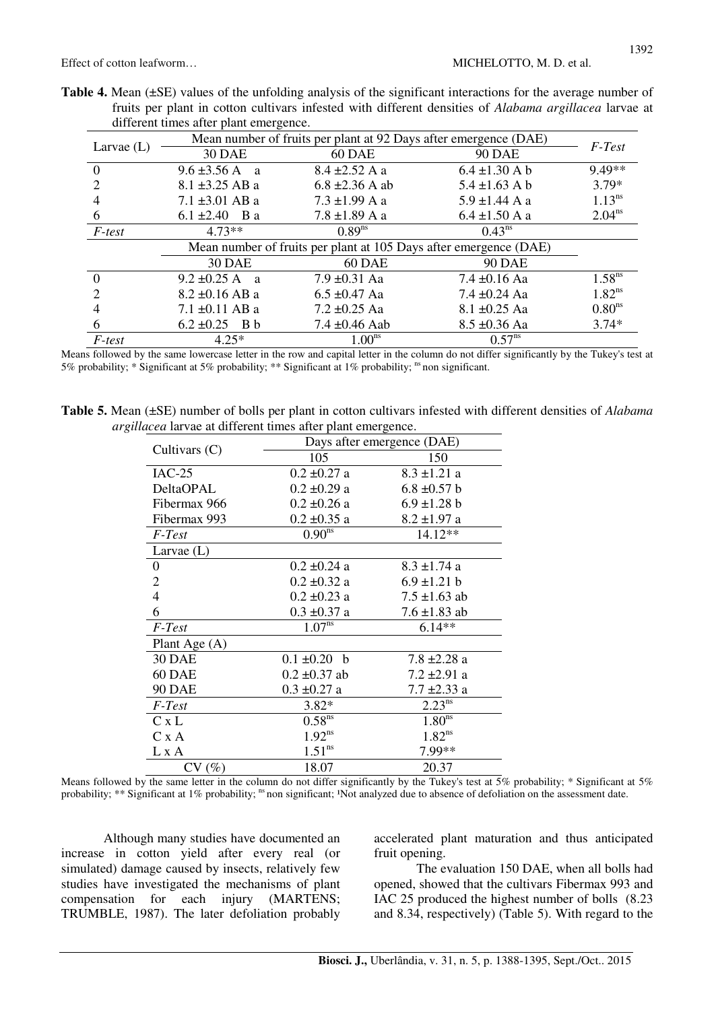Effect of cotton leafworm…  $MICHELOTTO, M. D.$  et al.

|  |  |                                        |  |  |  | <b>Table 4.</b> Mean $(\pm SE)$ values of the unfolding analysis of the significant interactions for the average number of |
|--|--|----------------------------------------|--|--|--|----------------------------------------------------------------------------------------------------------------------------|
|  |  |                                        |  |  |  | fruits per plant in cotton cultivars infested with different densities of <i>Alabama argillacea</i> larvae at              |
|  |  | different times after plant emergence. |  |  |  |                                                                                                                            |

|              | Mean number of fruits per plant at 92 Days after emergence (DAE) |                                                                   |                    |                    |  |  |
|--------------|------------------------------------------------------------------|-------------------------------------------------------------------|--------------------|--------------------|--|--|
| Larvae $(L)$ | <b>30 DAE</b>                                                    | 60 DAE                                                            | <b>90 DAE</b>      | F-Test             |  |  |
| $\Omega$     | $9.6 \pm 3.56$ A a                                               | $8.4 \pm 2.52$ A a                                                | $6.4 \pm 1.30$ A b | 9.49**             |  |  |
|              | $8.1 \pm 3.25$ AB a                                              | $6.8 \pm 2.36$ A ab                                               | $5.4 \pm 1.63$ A b | $3.79*$            |  |  |
|              | $7.1 \pm 3.01$ AB a                                              | $7.3 \pm 1.99$ A a                                                | $5.9 \pm 1.44$ A a | $1.13^{ns}$        |  |  |
| 6            | 6.1 $\pm 2.40$ B a                                               | $7.8 \pm 1.89$ A a                                                | $6.4 \pm 1.50$ A a | $2.04^{ns}$        |  |  |
| F-test       | $4.73**$                                                         | $0.89^{ns}$                                                       | $0.43^{ns}$        |                    |  |  |
|              |                                                                  | Mean number of fruits per plant at 105 Days after emergence (DAE) |                    |                    |  |  |
|              | <b>30 DAE</b>                                                    | 60 DAE                                                            | <b>90 DAE</b>      |                    |  |  |
| $\Omega$     | 9.2 $\pm 0.25$ A a                                               | $7.9 \pm 0.31$ Aa                                                 | 7.4 $\pm$ 0.16 Aa  | 1.58 <sup>ns</sup> |  |  |
| っ            | $8.2 \pm 0.16$ AB a                                              | $6.5 \pm 0.47$ Aa                                                 | $7.4 \pm 0.24$ Aa  | $1.82^{ns}$        |  |  |
| 4            | $7.1 \pm 0.11$ AB a                                              | $7.2 \pm 0.25$ Aa                                                 | $8.1 \pm 0.25$ Aa  | 0.80 <sup>ns</sup> |  |  |
| 6            | $6.2 \pm 0.25$ B b                                               | $7.4 \pm 0.46$ Aab                                                | $8.5 \pm 0.36$ Aa  | $3.74*$            |  |  |
| F-test       | $4.25*$                                                          | 1.00 <sup>ns</sup>                                                | $0.57^{ns}$        |                    |  |  |

Means followed by the same lowercase letter in the row and capital letter in the column do not differ significantly by the Tukey's test at 5% probability; \* Significant at 5% probability; \*\* Significant at 1% probability;  $\frac{1}{10}$  non significant.

**Table 5.** Mean (±SE) number of bolls per plant in cotton cultivars infested with different densities of *Alabama argillacea* larvae at different times after plant emergence.

| cea na vae al affreient times after plant emergence. | Days after emergence (DAE) |                    |  |  |  |
|------------------------------------------------------|----------------------------|--------------------|--|--|--|
| Cultivars $(C)$                                      | 105                        | 150                |  |  |  |
| $IAC-25$                                             | $0.2 \pm 0.27$ a           | $8.3 \pm 1.21$ a   |  |  |  |
| DeltaOPAL                                            | $0.2 \pm 0.29$ a           | $6.8 \pm 0.57$ b   |  |  |  |
| Fibermax 966                                         | $0.2 \pm 0.26$ a           | $6.9 \pm 1.28 b$   |  |  |  |
| Fibermax 993                                         | $0.2 \pm 0.35$ a           | $8.2 \pm 1.97$ a   |  |  |  |
| F-Test                                               | 0.90 <sup>ns</sup>         | 14.12**            |  |  |  |
| Larvae $(L)$                                         |                            |                    |  |  |  |
| $\boldsymbol{0}$                                     | $0.2 \pm 0.24$ a           | $8.3 \pm 1.74$ a   |  |  |  |
| $\overline{2}$                                       | $0.2 \pm 0.32$ a           | $6.9 \pm 1.21 b$   |  |  |  |
| $\overline{4}$                                       | $0.2 \pm 0.23$ a           | $7.5 \pm 1.63$ ab  |  |  |  |
| 6                                                    | $0.3 \pm 0.37$ a           | $7.6 \pm 1.83$ ab  |  |  |  |
| F-Test                                               | 1.07 <sup>ns</sup>         | $6.14**$           |  |  |  |
| Plant Age $(A)$                                      |                            |                    |  |  |  |
| <b>30 DAE</b>                                        | $0.1 \pm 0.20$ b           | 7.8 ±2.28 a        |  |  |  |
| 60 DAE                                               | $0.2 \pm 0.37$ ab          | $7.2 \pm 2.91$ a   |  |  |  |
| <b>90 DAE</b>                                        | $0.3 \pm 0.27$ a           | $7.7 \pm 2.33$ a   |  |  |  |
| F-Test                                               | $3.82*$                    | $2.23^{ns}$        |  |  |  |
| C x L                                                | 0.58 <sup>ns</sup>         | 1.80 <sup>ns</sup> |  |  |  |
| C x A                                                | $1.92^{ns}$                | $1.82^{ns}$        |  |  |  |
| L x A                                                | 1.51 <sup>ns</sup>         | 7.99**             |  |  |  |
| CV(%)                                                | 18.07                      | 20.37              |  |  |  |

Means followed by the same letter in the column do not differ significantly by the Tukey's test at  $5\%$  probability; \* Significant at  $5\%$ probability; \*\* Significant at 1% probability;  $n_s$  non significant; Not analyzed due to absence of defoliation on the assessment date.

Although many studies have documented an increase in cotton yield after every real (or simulated) damage caused by insects, relatively few studies have investigated the mechanisms of plant compensation for each injury (MARTENS; TRUMBLE, 1987). The later defoliation probably accelerated plant maturation and thus anticipated fruit opening.

The evaluation 150 DAE, when all bolls had opened, showed that the cultivars Fibermax 993 and IAC 25 produced the highest number of bolls (8.23 and 8.34, respectively) (Table 5). With regard to the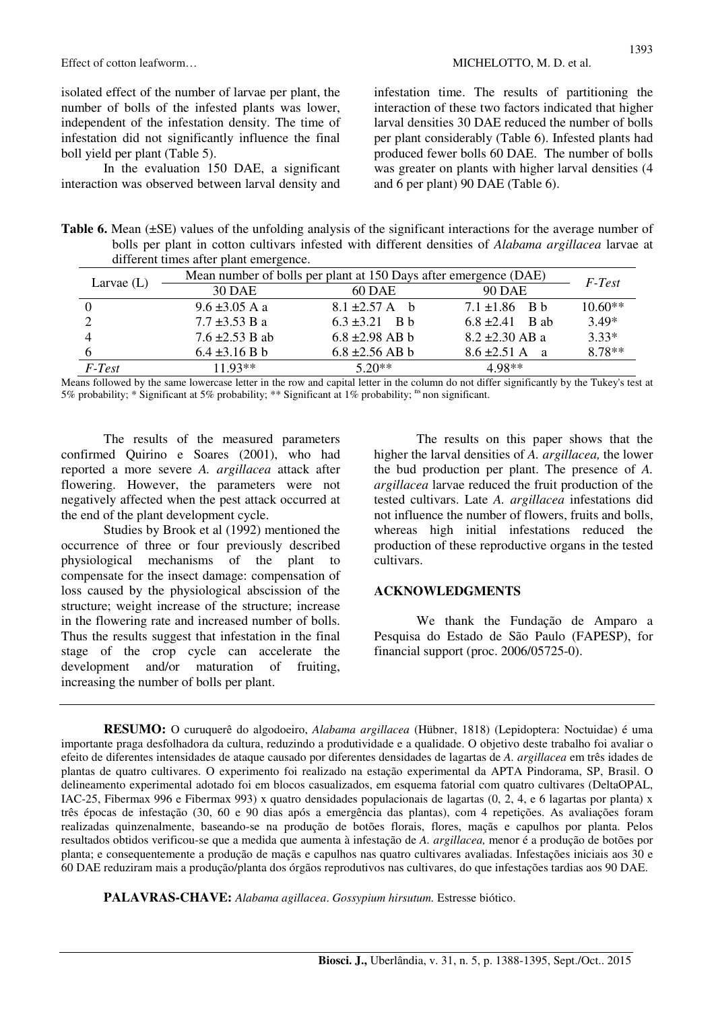Effect of cotton leafworm... MICHELOTTO, M. D. et al.

isolated effect of the number of larvae per plant, the number of bolls of the infested plants was lower, independent of the infestation density. The time of infestation did not significantly influence the final boll yield per plant (Table 5).

In the evaluation 150 DAE, a significant interaction was observed between larval density and

infestation time. The results of partitioning the interaction of these two factors indicated that higher larval densities 30 DAE reduced the number of bolls per plant considerably (Table 6). Infested plants had produced fewer bolls 60 DAE. The number of bolls was greater on plants with higher larval densities (4 and 6 per plant) 90 DAE (Table 6).

Table 6. Mean ( $\pm$ SE) values of the unfolding analysis of the significant interactions for the average number of bolls per plant in cotton cultivars infested with different densities of *Alabama argillacea* larvae at different times after plant emergence.

|              | Mean number of bolls per plant at 150 Days after emergence (DAE) |                     |                     |           |  |  |  |
|--------------|------------------------------------------------------------------|---------------------|---------------------|-----------|--|--|--|
| Larvae $(L)$ | 30 DAE                                                           | 60 DAE              | <b>90 DAE</b>       | F-Test    |  |  |  |
|              | $9.6 \pm 3.05$ A a                                               | $8.1 \pm 2.57$ A b  | $7.1 \pm 1.86$ B b  | $10.60**$ |  |  |  |
|              | $7.7 \pm 3.53$ B a                                               | $6.3 \pm 3.21$ B b  | $6.8 + 2.41$ B ab   | $3.49*$   |  |  |  |
|              | $7.6 \pm 2.53$ B ab                                              | $6.8 \pm 2.98$ AB b | $8.2 \pm 2.30$ AB a | $3.33*$   |  |  |  |
|              | $6.4 \pm 3.16 B b$                                               | $6.8 \pm 2.56$ AB b | $8.6 \pm 2.51$ A a  | $8.78**$  |  |  |  |
| F-Test       | $1193**$                                                         | $5.20**$            | $4.98**$            |           |  |  |  |

Means followed by the same lowercase letter in the row and capital letter in the column do not differ significantly by the Tukey's test at 5% probability; \* Significant at 5% probability; \*\* Significant at 1% probability; <sup>ns</sup> non significant.

The results of the measured parameters confirmed Quirino e Soares (2001), who had reported a more severe *A. argillacea* attack after flowering. However, the parameters were not negatively affected when the pest attack occurred at the end of the plant development cycle.

Studies by Brook et al (1992) mentioned the occurrence of three or four previously described physiological mechanisms of the plant to compensate for the insect damage: compensation of loss caused by the physiological abscission of the structure; weight increase of the structure; increase in the flowering rate and increased number of bolls. Thus the results suggest that infestation in the final stage of the crop cycle can accelerate the development and/or maturation of fruiting, increasing the number of bolls per plant.

The results on this paper shows that the higher the larval densities of *A. argillacea,* the lower the bud production per plant. The presence of *A. argillacea* larvae reduced the fruit production of the tested cultivars. Late *A. argillacea* infestations did not influence the number of flowers, fruits and bolls, whereas high initial infestations reduced the production of these reproductive organs in the tested cultivars.

#### **ACKNOWLEDGMENTS**

We thank the Fundação de Amparo a Pesquisa do Estado de São Paulo (FAPESP), for financial support (proc. 2006/05725-0).

**RESUMO:** O curuquerê do algodoeiro, *Alabama argillacea* (Hübner, 1818) (Lepidoptera: Noctuidae) é uma importante praga desfolhadora da cultura, reduzindo a produtividade e a qualidade. O objetivo deste trabalho foi avaliar o efeito de diferentes intensidades de ataque causado por diferentes densidades de lagartas de *A. argillacea* em três idades de plantas de quatro cultivares. O experimento foi realizado na estação experimental da APTA Pindorama, SP, Brasil. O delineamento experimental adotado foi em blocos casualizados, em esquema fatorial com quatro cultivares (DeltaOPAL, IAC-25, Fibermax 996 e Fibermax 993) x quatro densidades populacionais de lagartas (0, 2, 4, e 6 lagartas por planta) x três épocas de infestação (30, 60 e 90 dias após a emergência das plantas), com 4 repetições. As avaliações foram realizadas quinzenalmente, baseando-se na produção de botões florais, flores, maçãs e capulhos por planta. Pelos resultados obtidos verificou-se que a medida que aumenta à infestação de *A. argillacea,* menor é a produção de botões por planta; e consequentemente a produção de maçãs e capulhos nas quatro cultivares avaliadas. Infestações iniciais aos 30 e 60 DAE reduziram mais a produção/planta dos órgãos reprodutivos nas cultivares, do que infestações tardias aos 90 DAE.

**PALAVRAS-CHAVE:** *Alabama agillacea*. *Gossypium hirsutum.* Estresse biótico.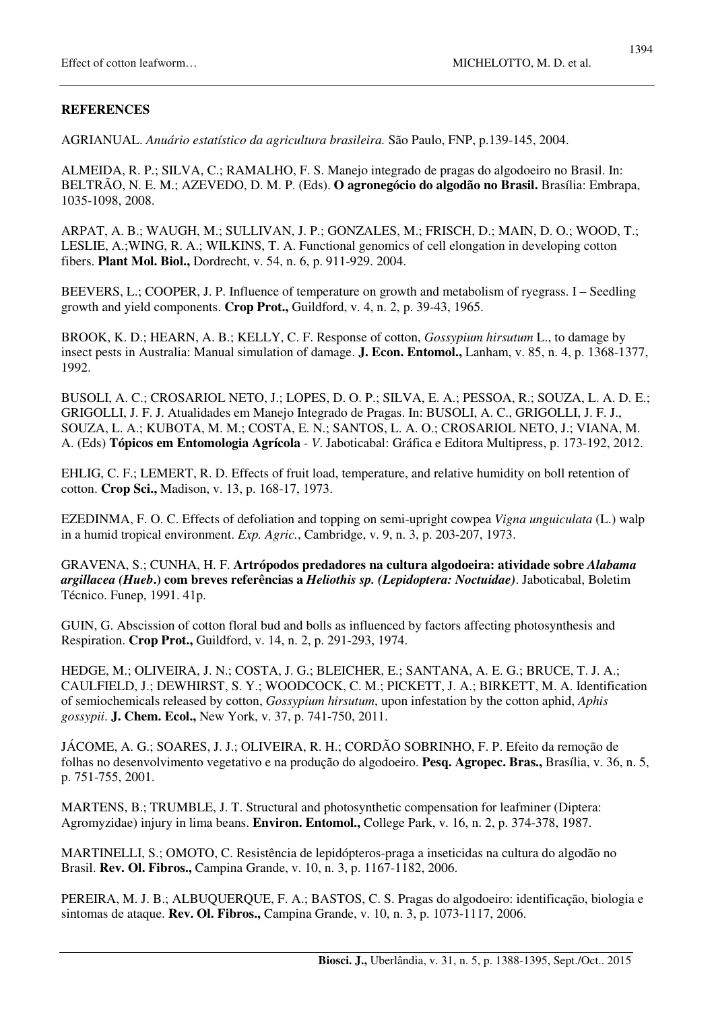AGRIANUAL. *Anuário estatístico da agricultura brasileira.* São Paulo, FNP, p.139-145, 2004.

ALMEIDA, R. P.; SILVA, C.; RAMALHO, F. S. Manejo integrado de pragas do algodoeiro no Brasil. In: BELTRÃO, N. E. M.; AZEVEDO, D. M. P. (Eds). **O agronegócio do algodão no Brasil.** Brasília: Embrapa, 1035-1098, 2008.

ARPAT, A. B.; WAUGH, M.; SULLIVAN, J. P.; GONZALES, M.; FRISCH, D.; MAIN, D. O.; WOOD, T.; LESLIE, A.;WING, R. A.; WILKINS, T. A. Functional genomics of cell elongation in developing cotton fibers. **Plant Mol. Biol.,** Dordrecht, v. 54, n. 6, p. 911-929. 2004.

BEEVERS, L.; COOPER, J. P. Influence of temperature on growth and metabolism of ryegrass. I – Seedling growth and yield components. **Crop Prot.,** Guildford, v. 4, n. 2, p. 39-43, 1965.

BROOK, K. D.; HEARN, A. B.; KELLY, C. F. Response of cotton, *Gossypium hirsutum* L., to damage by insect pests in Australia: Manual simulation of damage. **J. Econ. Entomol.,** Lanham, v. 85, n. 4, p. 1368-1377, 1992.

BUSOLI, A. C.; CROSARIOL NETO, J.; LOPES, D. O. P.; SILVA, E. A.; PESSOA, R.; SOUZA, L. A. D. E.; GRIGOLLI, J. F. J. Atualidades em Manejo Integrado de Pragas. In: BUSOLI, A. C., GRIGOLLI, J. F. J., SOUZA, L. A.; KUBOTA, M. M.; COSTA, E. N.; SANTOS, L. A. O.; CROSARIOL NETO, J.; VIANA, M. A. (Eds) **Tópicos em Entomologia Agrícola** *- V*. Jaboticabal: Gráfica e Editora Multipress, p. 173-192, 2012.

EHLIG, C. F.; LEMERT, R. D. Effects of fruit load, temperature, and relative humidity on boll retention of cotton. **Crop Sci.,** Madison, v. 13, p. 168-17, 1973.

EZEDINMA, F. O. C. Effects of defoliation and topping on semi-upright cowpea *Vigna unguiculata* (L.) walp in a humid tropical environment. *Exp. Agric.*, Cambridge, v. 9, n. 3, p. 203-207, 1973.

GRAVENA, S.; CUNHA, H. F. **Artrópodos predadores na cultura algodoeira: atividade sobre** *Alabama argillacea (Hueb***.) com breves referências a** *Heliothis sp. (Lepidoptera: Noctuidae)*. Jaboticabal, Boletim Técnico. Funep, 1991. 41p.

GUIN, G. Abscission of cotton floral bud and bolls as influenced by factors affecting photosynthesis and Respiration. **Crop Prot.,** Guildford, v. 14, n. 2, p. 291-293, 1974.

HEDGE, M.; OLIVEIRA, J. N.; COSTA, J. G.; BLEICHER, E.; SANTANA, A. E. G.; BRUCE, T. J. A.; CAULFIELD, J.; DEWHIRST, S. Y.; WOODCOCK, C. M.; PICKETT, J. A.; BIRKETT, M. A. Identification of semiochemicals released by cotton, *Gossypium hirsutum*, upon infestation by the cotton aphid, *Aphis gossypii*. **J. Chem. Ecol.,** New York, v. 37, p. 741-750, 2011.

JÁCOME, A. G.; SOARES, J. J.; OLIVEIRA, R. H.; CORDÃO SOBRINHO, F. P. Efeito da remoção de folhas no desenvolvimento vegetativo e na produção do algodoeiro. **Pesq. Agropec. Bras.,** Brasília, v. 36, n. 5, p. 751-755, 2001.

MARTENS, B.; TRUMBLE, J. T. Structural and photosynthetic compensation for leafminer (Diptera: Agromyzidae) injury in lima beans. **Environ. Entomol.,** College Park, v. 16, n. 2, p. 374-378, 1987.

MARTINELLI, S.; OMOTO, C. Resistência de lepidópteros-praga a inseticidas na cultura do algodão no Brasil. **Rev. Ol. Fibros.,** Campina Grande, v. 10, n. 3, p. 1167-1182, 2006.

PEREIRA, M. J. B.; ALBUQUERQUE, F. A.; BASTOS, C. S. Pragas do algodoeiro: identificação, biologia e sintomas de ataque. **Rev. Ol. Fibros.,** Campina Grande, v. 10, n. 3, p. 1073-1117, 2006.